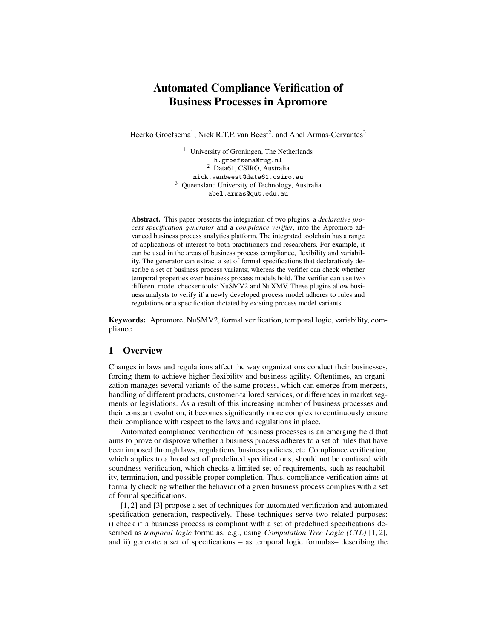# Automated Compliance Verification of Business Processes in Apromore

Heerko Groefsema<sup>1</sup>, Nick R.T.P. van Beest<sup>2</sup>, and Abel Armas-Cervantes<sup>3</sup>

<sup>1</sup> University of Groningen, The Netherlands h.groefsema@rug.nl <sup>2</sup> Data61, CSIRO, Australia nick.vanbeest@data61.csiro.au <sup>3</sup> Queensland University of Technology, Australia abel.armas@qut.edu.au

Abstract. This paper presents the integration of two plugins, a *declarative process specification generator* and a *compliance verifier*, into the Apromore advanced business process analytics platform. The integrated toolchain has a range of applications of interest to both practitioners and researchers. For example, it can be used in the areas of business process compliance, flexibility and variability. The generator can extract a set of formal specifications that declaratively describe a set of business process variants; whereas the verifier can check whether temporal properties over business process models hold. The verifier can use two different model checker tools: NuSMV2 and NuXMV. These plugins allow business analysts to verify if a newly developed process model adheres to rules and regulations or a specification dictated by existing process model variants.

Keywords: Apromore, NuSMV2, formal verification, temporal logic, variability, compliance

## 1 Overview

Changes in laws and regulations affect the way organizations conduct their businesses, forcing them to achieve higher flexibility and business agility. Oftentimes, an organization manages several variants of the same process, which can emerge from mergers, handling of different products, customer-tailored services, or differences in market segments or legislations. As a result of this increasing number of business processes and their constant evolution, it becomes significantly more complex to continuously ensure their compliance with respect to the laws and regulations in place.

Automated compliance verification of business processes is an emerging field that aims to prove or disprove whether a business process adheres to a set of rules that have been imposed through laws, regulations, business policies, etc. Compliance verification, which applies to a broad set of predefined specifications, should not be confused with soundness verification, which checks a limited set of requirements, such as reachability, termination, and possible proper completion. Thus, compliance verification aims at formally checking whether the behavior of a given business process complies with a set of formal specifications.

[1, 2] and [3] propose a set of techniques for automated verification and automated specification generation, respectively. These techniques serve two related purposes: i) check if a business process is compliant with a set of predefined specifications described as *temporal logic* formulas, e.g., using *Computation Tree Logic (CTL)* [1, 2], and ii) generate a set of specifications – as temporal logic formulas– describing the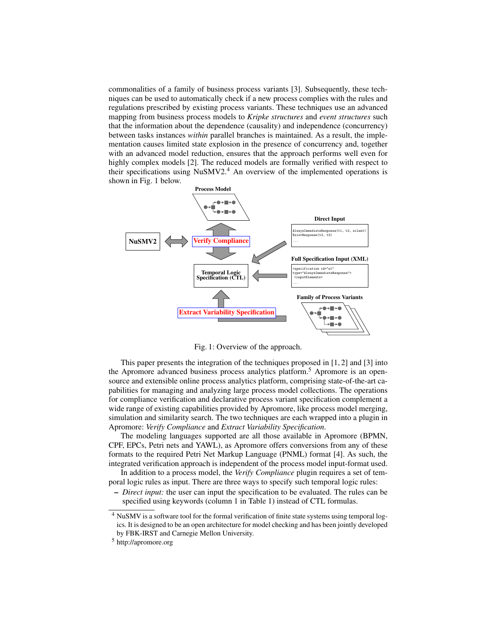commonalities of a family of business process variants [3]. Subsequently, these techniques can be used to automatically check if a new process complies with the rules and regulations prescribed by existing process variants. These techniques use an advanced mapping from business process models to *Kripke structures* and *event structures* such that the information about the dependence (causality) and independence (concurrency) between tasks instances *within* parallel branches is maintained. As a result, the implementation causes limited state explosion in the presence of concurrency and, together with an advanced model reduction, ensures that the approach performs well even for highly complex models [2]. The reduced models are formally verified with respect to their specifications using NuSMV2.<sup>4</sup> An overview of the implemented operations is shown in Fig. 1 below.



Fig. 1: Overview of the approach.

This paper presents the integration of the techniques proposed in [1, 2] and [3] into the Apromore advanced business process analytics platform.<sup>5</sup> Apromore is an opensource and extensible online process analytics platform, comprising state-of-the-art capabilities for managing and analyzing large process model collections. The operations for compliance verification and declarative process variant specification complement a wide range of existing capabilities provided by Apromore, like process model merging, simulation and similarity search. The two techniques are each wrapped into a plugin in Apromore: *Verify Compliance* and *Extract Variability Specification*.

The modeling languages supported are all those available in Apromore (BPMN, CPF, EPCs, Petri nets and YAWL), as Apromore offers conversions from any of these formats to the required Petri Net Markup Language (PNML) format [4]. As such, the integrated verification approach is independent of the process model input-format used.

In addition to a process model, the *Verify Compliance* plugin requires a set of temporal logic rules as input. There are three ways to specify such temporal logic rules:

– *Direct input:* the user can input the specification to be evaluated. The rules can be specified using keywords (column 1 in Table 1) instead of CTL formulas.

<sup>4</sup> NuSMV is a software tool for the formal verification of finite state systems using temporal logics. It is designed to be an open architecture for model checking and has been jointly developed by FBK-IRST and Carnegie Mellon University.

<sup>5</sup> http://apromore.org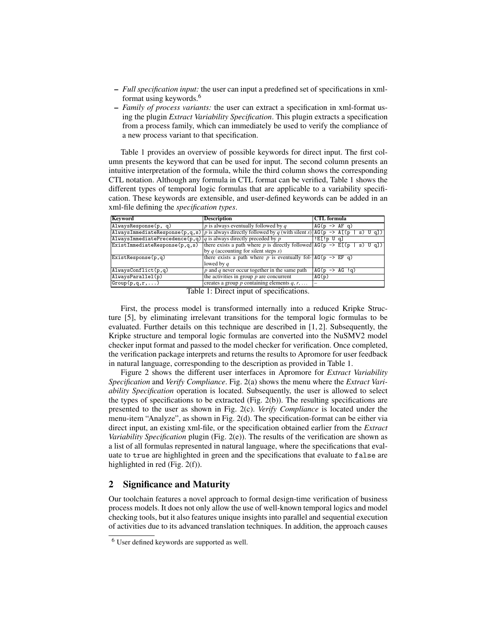- *Full specification input:* the user can input a predefined set of specifications in xmlformat using keywords.<sup>6</sup>
- *Family of process variants:* the user can extract a specification in xml-format using the plugin *Extract Variability Specification*. This plugin extracts a specification from a process family, which can immediately be used to verify the compliance of a new process variant to that specification.

Table 1 provides an overview of possible keywords for direct input. The first column presents the keyword that can be used for input. The second column presents an intuitive interpretation of the formula, while the third column shows the corresponding CTL notation. Although any formula in CTL format can be verified, Table 1 shows the different types of temporal logic formulas that are applicable to a variability specification. These keywords are extensible, and user-defined keywords can be added in an xml-file defining the *specification types*.

| Keyword                                                              | <b>Description</b>                                                                                             | <b>CTL</b> formula           |
|----------------------------------------------------------------------|----------------------------------------------------------------------------------------------------------------|------------------------------|
| AlwaysResponse(p, q)                                                 | $p$ is always eventually followed by $q$                                                                       | $AG(p \rightarrow AF q)$     |
|                                                                      | Always ImmediateResponse(p,q,s)   p is always directly followed by q (with silent s)   AG(p -> A[(p   s) U q]) |                              |
| AlwaysImmediatePrecedence(p,q)  q is always directly preceded by $p$ |                                                                                                                | $E[\cdot p \cup q]$          |
| ExistImmediateResponse(p,q,s)                                        | there exists a path where p is directly followed $AG(p \rightarrow E[(p \mid s) \cup q])$                      |                              |
|                                                                      | by $q$ (accounting for silent steps $s$ )                                                                      |                              |
| $\ket{\texttt{ExistResponse}(\texttt{p}, \texttt{q})}$               | there exists a path where p is eventually fol- $AG(p \rightarrow EF q)$                                        |                              |
|                                                                      | lowed by $q$                                                                                                   |                              |
| $\overline{\text{AlwaysConflict(p,q)}}$                              | $ p $ and q never occur together in the same path                                                              | $AG(p \rightarrow AG \, 1q)$ |
| AlwaysParallel(p)                                                    | the activities in group $p$ are concurrent                                                                     | AG(p)                        |
| $\boxed{\text{Group}(p,q,r,\ldots)}$                                 | creates a group p containing elements $q, r, \ldots$                                                           |                              |

Table 1: Direct input of specifications.

First, the process model is transformed internally into a reduced Kripke Structure [5], by eliminating irrelevant transitions for the temporal logic formulas to be evaluated. Further details on this technique are described in [1, 2]. Subsequently, the Kripke structure and temporal logic formulas are converted into the NuSMV2 model checker input format and passed to the model checker for verification. Once completed, the verification package interprets and returns the results to Apromore for user feedback in natural language, corresponding to the description as provided in Table 1.

Figure 2 shows the different user interfaces in Apromore for *Extract Variability Specification* and *Verify Compliance*. Fig. 2(a) shows the menu where the *Extract Variability Specification* operation is located. Subsequently, the user is allowed to select the types of specifications to be extracted (Fig. 2(b)). The resulting specifications are presented to the user as shown in Fig. 2(c). *Verify Compliance* is located under the menu-item "Analyze", as shown in Fig. 2(d). The specification-format can be either via direct input, an existing xml-file, or the specification obtained earlier from the *Extract Variability Specification* plugin (Fig. 2(e)). The results of the verification are shown as a list of all formulas represented in natural language, where the specifications that evaluate to true are highlighted in green and the specifications that evaluate to false are highlighted in red (Fig. 2(f)).

# 2 Significance and Maturity

Our toolchain features a novel approach to formal design-time verification of business process models. It does not only allow the use of well-known temporal logics and model checking tools, but it also features unique insights into parallel and sequential execution of activities due to its advanced translation techniques. In addition, the approach causes

<sup>6</sup> User defined keywords are supported as well.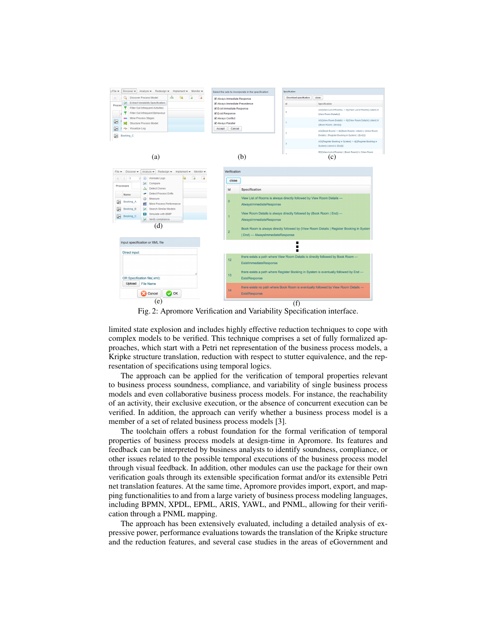

Fig. 2: Apromore Verification and Variability Specification interface.

limited state explosion and includes highly effective reduction techniques to cope with complex models to be verified. This technique comprises a set of fully formalized approaches, which start with a Petri net representation of the business process models, a Kripke structure translation, reduction with respect to stutter equivalence, and the representation of specifications using temporal logics.

The approach can be applied for the verification of temporal properties relevant to business process soundness, compliance, and variability of single business process models and even collaborative business process models. For instance, the reachability of an activity, their exclusive execution, or the absence of concurrent execution can be verified. In addition, the approach can verify whether a business process model is a member of a set of related business process models [3].

The toolchain offers a robust foundation for the formal verification of temporal properties of business process models at design-time in Apromore. Its features and feedback can be interpreted by business analysts to identify soundness, compliance, or other issues related to the possible temporal executions of the business process model through visual feedback. In addition, other modules can use the package for their own verification goals through its extensible specification format and/or its extensible Petri net translation features. At the same time, Apromore provides import, export, and mapping functionalities to and from a large variety of business process modeling languages, including BPMN, XPDL, EPML, ARIS, YAWL, and PNML, allowing for their verification through a PNML mapping.

The approach has been extensively evaluated, including a detailed analysis of expressive power, performance evaluations towards the translation of the Kripke structure and the reduction features, and several case studies in the areas of eGovernment and